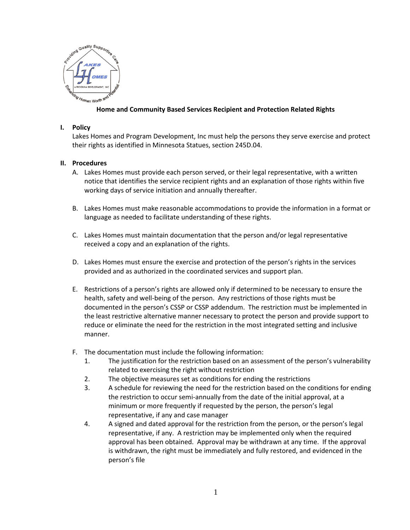

## **Home and Community Based Services Recipient and Protection Related Rights**

## **I. Policy**

Lakes Homes and Program Development, Inc must help the persons they serve exercise and protect their rights as identified in Minnesota Statues, section 245D.04.

## **II. Procedures**

- A. Lakes Homes must provide each person served, or their legal representative, with a written notice that identifies the service recipient rights and an explanation of those rights within five working days of service initiation and annually thereafter.
- B. Lakes Homes must make reasonable accommodations to provide the information in a format or language as needed to facilitate understanding of these rights.
- C. Lakes Homes must maintain documentation that the person and/or legal representative received a copy and an explanation of the rights.
- D. Lakes Homes must ensure the exercise and protection of the person's rights in the services provided and as authorized in the coordinated services and support plan.
- E. Restrictions of a person's rights are allowed only if determined to be necessary to ensure the health, safety and well-being of the person. Any restrictions of those rights must be documented in the person's CSSP or CSSP addendum. The restriction must be implemented in the least restrictive alternative manner necessary to protect the person and provide support to reduce or eliminate the need for the restriction in the most integrated setting and inclusive manner.
- F. The documentation must include the following information:
	- 1. The justification for the restriction based on an assessment of the person's vulnerability related to exercising the right without restriction
	- 2. The objective measures set as conditions for ending the restrictions
	- 3. A schedule for reviewing the need for the restriction based on the conditions for ending the restriction to occur semi-annually from the date of the initial approval, at a minimum or more frequently if requested by the person, the person's legal representative, if any and case manager
	- 4. A signed and dated approval for the restriction from the person, or the person's legal representative, if any. A restriction may be implemented only when the required approval has been obtained. Approval may be withdrawn at any time. If the approval is withdrawn, the right must be immediately and fully restored, and evidenced in the person's file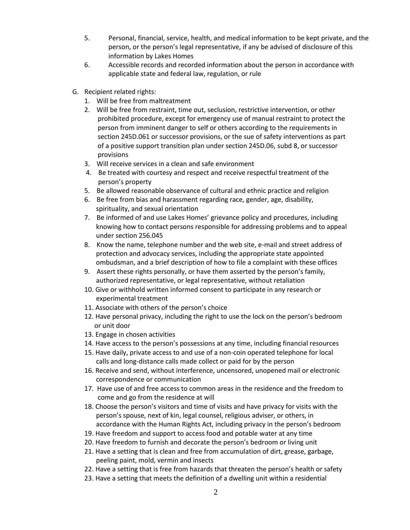- 5. Personal, financial, service, health, and medical information to be kept private, and the person, or the person's legal representative, if any be advised of disclosure of this information by Lakes Homes
- 6. Accessible records and recorded information about the person in accordance with applicable state and federal law, regulation, or rule
- G. Recipient related rights:
	- 1. Will be free from maltreatment
	- 2. Will be free from restraint, time out, seclusion, restrictive intervention, or other prohibited procedure, except for emergency use of manual restraint to protect the person from imminent danger to self or others according to the requirements in section 245D.061 or successor provisions, or the sue of safety interventions as part of a positive support transition plan under section 245D.06, subd 8, or successor provisions
	- 3. Will receive services in a clean and safe environment
	- 4. Be treated with courtesy and respect and receive respectful treatment of the person's property
	- 5. Be allowed reasonable observance of cultural and ethnic practice and religion
	- 6. Be free from bias and harassment regarding race, gender, age, disability, spirituality, and sexual orientation
	- 7. Be informed of and use Lakes Homes' grievance policy and procedures, including knowing how to contact persons responsible for addressing problems and to appeal under section 256.045
	- 8. Know the name, telephone number and the web site, e-mail and street address of protection and advocacy services, including the appropriate state appointed ombudsman, and a brief description of how to file a complaint with these offices
	- 9. Assert these rights personally, or have them asserted by the person's family, authorized representative, or legal representative, without retaliation
	- 10. Give or withhold written informed consent to participate in any research or experimental treatment
	- 11. Associate with others of the person's choice
	- 12. Have personal privacy, including the right to use the lock on the person's bedroom or unit door
	- 13. Engage in chosen activities
	- 14. Have access to the person's possessions at any time, including financial resources
	- 15. Have daily, private access to and use of a non-coin operated telephone for local calls and long-distance calls made collect or paid for by the person
	- 16. Receive and send, without interference, uncensored, unopened mail or electronic correspondence or communication
	- 17. Have use of and free access to common areas in the residence and the freedom to come and go from the residence at will
	- 18. Choose the person's visitors and time of visits and have privacy for visits with the person's spouse, next of kin, legal counsel, religious adviser, or others, in accordance with the Human Rights Act, including privacy in the person's bedroom
	- 19. Have freedom and support to access food and potable water at any time
	- 20. Have freedom to furnish and decorate the person's bedroom or living unit
	- 21. Have a setting that is clean and free from accumulation of dirt, grease, garbage, peeling paint, mold, vermin and insects
	- 22. Have a setting that is free from hazards that threaten the person's health or safety
	- 23. Have a setting that meets the definition of a dwelling unit within a residential